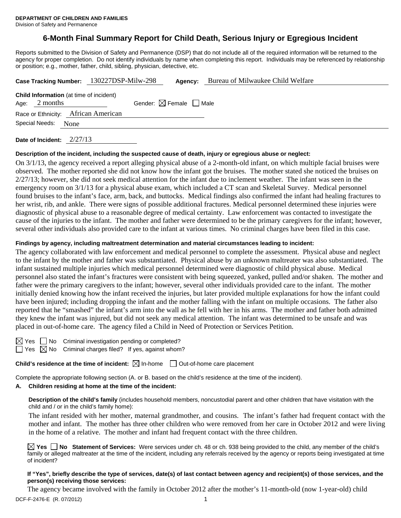# **6-Month Final Summary Report for Child Death, Serious Injury or Egregious Incident**

Reports submitted to the Division of Safety and Permanence (DSP) that do not include all of the required information will be returned to the agency for proper completion. Do not identify individuals by name when completing this report. Individuals may be referenced by relationship or position; e.g., mother, father, child, sibling, physician, detective, etc.

|                        | Case Tracking Number: 130227DSP-Milw-298       | Agency:                                | Bureau of Milwaukee Child Welfare |
|------------------------|------------------------------------------------|----------------------------------------|-----------------------------------|
| Age: $2$ months        | <b>Child Information</b> (at time of incident) | Gender: $\boxtimes$ Female $\Box$ Male |                                   |
|                        | Race or Ethnicity: African American            |                                        |                                   |
| Special Needs:<br>None |                                                |                                        |                                   |
|                        |                                                |                                        |                                   |

**Date of Incident:** 2/27/13

### **Description of the incident, including the suspected cause of death, injury or egregious abuse or neglect:**

On 3/1/13, the agency received a report alleging physical abuse of a 2-month-old infant, on which multiple facial bruises were observed. The mother reported she did not know how the infant got the bruises. The mother stated she noticed the bruises on  $2/27/13$ ; however, she did not seek medical attention for the infant due to inclement weather. The infant was seen in the emergency room on 3/1/13 for a physical abuse exam, which included a CT scan and Skeletal Survey. Medical personnel found bruises to the infant's face, arm, back, and buttocks. Medical findings also confirmed the infant had healing fractures to her wrist, rib, and ankle. There were signs of possible additional fractures. Medical personnel determined these injuries were diagnostic of physical abuse to a reasonable degree of medical certainty. Law enforcement was contacted to investigate the cause of the injuries to the infant. The mother and father were determined to be the primary caregivers for the infant; however, several other individuals also provided care to the infant at various times. No criminal charges have been filed in this case.

#### **Findings by agency, including maltreatment determination and material circumstances leading to incident:**

The agency collaborated with law enforcement and medical personnel to complete the assessment. Physical abuse and neglect to the infant by the mother and father was substantiated. Physical abuse by an unknown maltreater was also substantiated. The infant sustained multiple injuries which medical personnel determined were diagnostic of child physical abuse. Medical personnel also stated the infant's fractures were consistent with being squeezed, yanked, pulled and/or shaken. The mother and father were the primary caregivers to the infant; however, several other individuals provided care to the infant. The mother initially denied knowing how the infant received the injuries, but later provided multiple explanations for how the infant could have been injured; including dropping the infant and the mother falling with the infant on multiple occasions. The father also reported that he "smashed" the infant's arm into the wall as he fell with her in his arms. The mother and father both admitted they knew the infant was injured, but did not seek any medical attention. The infant was determined to be unsafe and was placed in out-of-home care. The agency filed a Child in Need of Protection or Services Petition.

| × |  |
|---|--|
|   |  |

 $\Box$  No Criminal investigation pending or completed?  $\Box$  Yes  $\boxtimes$  No Criminal charges filed? If yes, against whom?

**Child's residence at the time of incident:**  $\boxtimes$  In-home  $\Box$  Out-of-home care placement

Complete the appropriate following section (A. or B. based on the child's residence at the time of the incident).

## **A. Children residing at home at the time of the incident:**

**Description of the child's family** (includes household members, noncustodial parent and other children that have visitation with the child and / or in the child's family home):

 The infant resided with her mother, maternal grandmother, and cousins. The infant's father had frequent contact with the mother and infant. The mother has three other children who were removed from her care in October 2012 and were living in the home of a relative. The mother and infant had frequent contact with the three children.

**Yes No Statement of Services:** Were services under ch. 48 or ch. 938 being provided to the child, any member of the child's family or alleged maltreater at the time of the incident, including any referrals received by the agency or reports being investigated at time of incident?

### **If "Yes", briefly describe the type of services, date(s) of last contact between agency and recipient(s) of those services, and the person(s) receiving those services:**

The agency became involved with the family in October 2012 after the mother's 11-month-old (now 1-year-old) child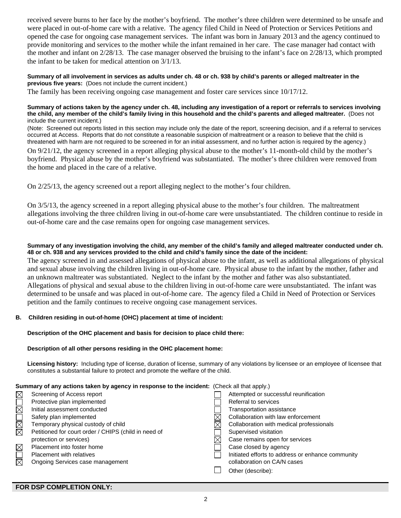received severe burns to her face by the mother's boyfriend. The mother's three children were determined to be unsafe and were placed in out-of-home care with a relative. The agency filed Child in Need of Protection or Services Petitions and opened the case for ongoing case management services. The infant was born in January 2013 and the agency continued to provide monitoring and services to the mother while the infant remained in her care. The case manager had contact with the mother and infant on 2/28/13. The case manager observed the bruising to the infant's face on 2/28/13, which prompted the infant to be taken for medical attention on 3/1/13.

**Summary of all involvement in services as adults under ch. 48 or ch. 938 by child's parents or alleged maltreater in the previous five years:** (Does not include the current incident.)

The family has been receiving ongoing case management and foster care services since 10/17/12.

#### **Summary of actions taken by the agency under ch. 48, including any investigation of a report or referrals to services involving the child, any member of the child's family living in this household and the child's parents and alleged maltreater.** (Does not include the current incident.)

(Note: Screened out reports listed in this section may include only the date of the report, screening decision, and if a referral to services occurred at Access. Reports that do not constitute a reasonable suspicion of maltreatment or a reason to believe that the child is threatened with harm are not required to be screened in for an initial assessment, and no further action is required by the agency.)

On 9/21/12, the agency screened in a report alleging physical abuse to the mother's 11-month-old child by the mother's boyfriend. Physical abuse by the mother's boyfriend was substantiated. The mother's three children were removed from the home and placed in the care of a relative.

On 2/25/13, the agency screened out a report alleging neglect to the mother's four children.

On 3/5/13, the agency screened in a report alleging physical abuse to the mother's four children. The maltreatment allegations involving the three children living in out-of-home care were unsubstantiated. The children continue to reside in out-of-home care and the case remains open for ongoing case management services.

### **Summary of any investigation involving the child, any member of the child's family and alleged maltreater conducted under ch. 48 or ch. 938 and any services provided to the child and child's family since the date of the incident:**

The agency screened in and assessed allegations of physical abuse to the infant, as well as additional allegations of physical and sexual abuse involving the children living in out-of-home care. Physical abuse to the infant by the mother, father and an unknown maltreater was substantiated. Neglect to the infant by the mother and father was also substantiated. Allegations of physical and sexual abuse to the children living in out-of-home care were unsubstantiated. The infant was determined to be unsafe and was placed in out-of-home care. The agency filed a Child in Need of Protection or Services petition and the family continues to receive ongoing case management services.

### **B. Children residing in out-of-home (OHC) placement at time of incident:**

### **Description of the OHC placement and basis for decision to place child there:**

### **Description of all other persons residing in the OHC placement home:**

**Licensing history:** Including type of license, duration of license, summary of any violations by licensee or an employee of licensee that constitutes a substantial failure to protect and promote the welfare of the child.

### **Summary of any actions taken by agency in response to the incident:** (Check all that apply.)

| $\boxtimes$            | Screening of Access report                           | Attempted or successful reunification             |
|------------------------|------------------------------------------------------|---------------------------------------------------|
| $\overline{\boxtimes}$ | Protective plan implemented                          | Referral to services                              |
|                        | Initial assessment conducted                         | <b>Transportation assistance</b>                  |
|                        | Safety plan implemented                              | Collaboration with law enforcement                |
| MMO                    | Temporary physical custody of child                  | Collaboration with medical professionals          |
|                        | Petitioned for court order / CHIPS (child in need of | Supervised visitation                             |
|                        | protection or services)                              | Case remains open for services                    |
| $\boxtimes$            | Placement into foster home                           | Case closed by agency                             |
| $\Box$                 | <b>Placement with relatives</b>                      | Initiated efforts to address or enhance community |
| 岗                      | Ongoing Services case management                     | collaboration on CA/N cases                       |
|                        |                                                      | Other (describe):                                 |
|                        |                                                      |                                                   |

### **FOR DSP COMPLETION ONLY:**